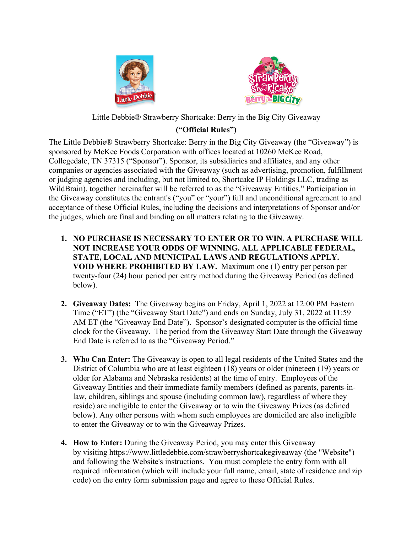



Little Debbie® Strawberry Shortcake: Berry in the Big City Giveaway

## **("Official Rules")**

The Little Debbie® Strawberry Shortcake: Berry in the Big City Giveaway (the "Giveaway") is sponsored by McKee Foods Corporation with offices located at 10260 McKee Road, Collegedale, TN 37315 ("Sponsor"). Sponsor, its subsidiaries and affiliates, and any other companies or agencies associated with the Giveaway (such as advertising, promotion, fulfillment or judging agencies and including, but not limited to, Shortcake IP Holdings LLC, trading as WildBrain), together hereinafter will be referred to as the "Giveaway Entities." Participation in the Giveaway constitutes the entrant's ("you" or "your") full and unconditional agreement to and acceptance of these Official Rules, including the decisions and interpretations of Sponsor and/or the judges, which are final and binding on all matters relating to the Giveaway.

- **1. NO PURCHASE IS NECESSARY TO ENTER OR TO WIN. A PURCHASE WILL NOT INCREASE YOUR ODDS OF WINNING. ALL APPLICABLE FEDERAL, STATE, LOCAL AND MUNICIPAL LAWS AND REGULATIONS APPLY. VOID WHERE PROHIBITED BY LAW.** Maximum one (1) entry per person per twenty-four (24) hour period per entry method during the Giveaway Period (as defined below).
- **2. Giveaway Dates:** The Giveaway begins on Friday, April 1, 2022 at 12:00 PM Eastern Time ("ET") (the "Giveaway Start Date") and ends on Sunday, July 31, 2022 at 11:59 AM ET (the "Giveaway End Date"). Sponsor's designated computer is the official time clock for the Giveaway. The period from the Giveaway Start Date through the Giveaway End Date is referred to as the "Giveaway Period."
- **3. Who Can Enter:** The Giveaway is open to all legal residents of the United States and the District of Columbia who are at least eighteen (18) years or older (nineteen (19) years or older for Alabama and Nebraska residents) at the time of entry. Employees of the Giveaway Entities and their immediate family members (defined as parents, parents-inlaw, children, siblings and spouse (including common law), regardless of where they reside) are ineligible to enter the Giveaway or to win the Giveaway Prizes (as defined below). Any other persons with whom such employees are domiciled are also ineligible to enter the Giveaway or to win the Giveaway Prizes.
- **4. How to Enter:** During the Giveaway Period, you may enter this Giveaway by visiting https://www.littledebbie.com/strawberryshortcakegiveaway (the "Website") and following the Website's instructions. You must complete the entry form with all required information (which will include your full name, email, state of residence and zip code) on the entry form submission page and agree to these Official Rules.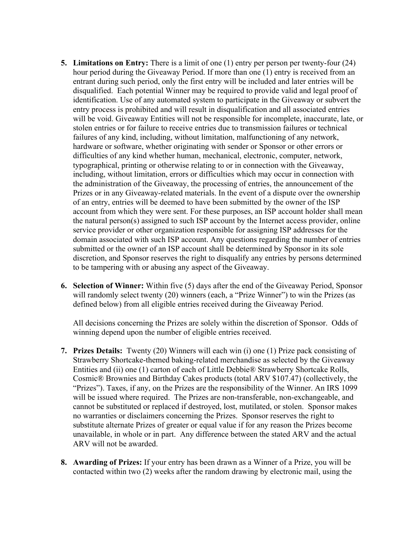- **5. Limitations on Entry:** There is a limit of one (1) entry per person per twenty-four (24) hour period during the Giveaway Period. If more than one (1) entry is received from an entrant during such period, only the first entry will be included and later entries will be disqualified. Each potential Winner may be required to provide valid and legal proof of identification. Use of any automated system to participate in the Giveaway or subvert the entry process is prohibited and will result in disqualification and all associated entries will be void. Giveaway Entities will not be responsible for incomplete, inaccurate, late, or stolen entries or for failure to receive entries due to transmission failures or technical failures of any kind, including, without limitation, malfunctioning of any network, hardware or software, whether originating with sender or Sponsor or other errors or difficulties of any kind whether human, mechanical, electronic, computer, network, typographical, printing or otherwise relating to or in connection with the Giveaway, including, without limitation, errors or difficulties which may occur in connection with the administration of the Giveaway, the processing of entries, the announcement of the Prizes or in any Giveaway-related materials. In the event of a dispute over the ownership of an entry, entries will be deemed to have been submitted by the owner of the ISP account from which they were sent. For these purposes, an ISP account holder shall mean the natural person(s) assigned to such ISP account by the Internet access provider, online service provider or other organization responsible for assigning ISP addresses for the domain associated with such ISP account. Any questions regarding the number of entries submitted or the owner of an ISP account shall be determined by Sponsor in its sole discretion, and Sponsor reserves the right to disqualify any entries by persons determined to be tampering with or abusing any aspect of the Giveaway.
- **6. Selection of Winner:** Within five (5) days after the end of the Giveaway Period, Sponsor will randomly select twenty (20) winners (each, a "Prize Winner") to win the Prizes (as defined below) from all eligible entries received during the Giveaway Period.

All decisions concerning the Prizes are solely within the discretion of Sponsor. Odds of winning depend upon the number of eligible entries received.

- **7. Prizes Details:** Twenty (20) Winners will each win (i) one (1) Prize pack consisting of Strawberry Shortcake-themed baking-related merchandise as selected by the Giveaway Entities and (ii) one (1) carton of each of Little Debbie® Strawberry Shortcake Rolls, Cosmic® Brownies and Birthday Cakes products (total ARV \$107.47) (collectively, the "Prizes"). Taxes, if any, on the Prizes are the responsibility of the Winner. An IRS 1099 will be issued where required. The Prizes are non-transferable, non-exchangeable, and cannot be substituted or replaced if destroyed, lost, mutilated, or stolen. Sponsor makes no warranties or disclaimers concerning the Prizes. Sponsor reserves the right to substitute alternate Prizes of greater or equal value if for any reason the Prizes become unavailable, in whole or in part. Any difference between the stated ARV and the actual ARV will not be awarded.
- **8. Awarding of Prizes:** If your entry has been drawn as a Winner of a Prize, you will be contacted within two (2) weeks after the random drawing by electronic mail, using the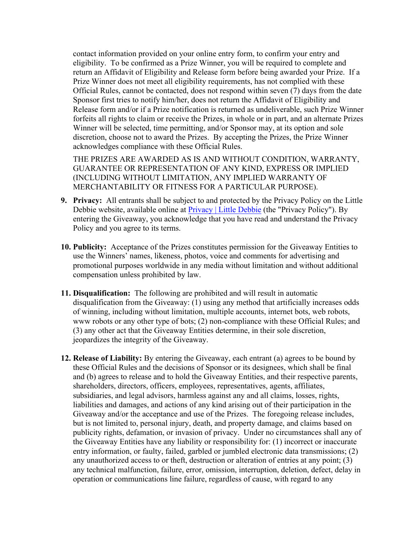contact information provided on your online entry form, to confirm your entry and eligibility. To be confirmed as a Prize Winner, you will be required to complete and return an Affidavit of Eligibility and Release form before being awarded your Prize. If a Prize Winner does not meet all eligibility requirements, has not complied with these Official Rules, cannot be contacted, does not respond within seven (7) days from the date Sponsor first tries to notify him/her, does not return the Affidavit of Eligibility and Release form and/or if a Prize notification is returned as undeliverable, such Prize Winner forfeits all rights to claim or receive the Prizes, in whole or in part, and an alternate Prizes Winner will be selected, time permitting, and/or Sponsor may, at its option and sole discretion, choose not to award the Prizes. By accepting the Prizes, the Prize Winner acknowledges compliance with these Official Rules.

THE PRIZES ARE AWARDED AS IS AND WITHOUT CONDITION, WARRANTY, GUARANTEE OR REPRESENTATION OF ANY KIND, EXPRESS OR IMPLIED (INCLUDING WITHOUT LIMITATION, ANY IMPLIED WARRANTY OF MERCHANTABILITY OR FITNESS FOR A PARTICULAR PURPOSE).

- **9. Privacy:** All entrants shall be subject to and protected by the Privacy Policy on the Little Debbie website, available online at **Privacy** | Little Debbie (the "Privacy Policy"). By entering the Giveaway, you acknowledge that you have read and understand the Privacy Policy and you agree to its terms.
- **10. Publicity:** Acceptance of the Prizes constitutes permission for the Giveaway Entities to use the Winners' names, likeness, photos, voice and comments for advertising and promotional purposes worldwide in any media without limitation and without additional compensation unless prohibited by law.
- **11. Disqualification:** The following are prohibited and will result in automatic disqualification from the Giveaway: (1) using any method that artificially increases odds of winning, including without limitation, multiple accounts, internet bots, web robots, www robots or any other type of bots; (2) non-compliance with these Official Rules; and (3) any other act that the Giveaway Entities determine, in their sole discretion, jeopardizes the integrity of the Giveaway.
- **12. Release of Liability:** By entering the Giveaway, each entrant (a) agrees to be bound by these Official Rules and the decisions of Sponsor or its designees, which shall be final and (b) agrees to release and to hold the Giveaway Entities, and their respective parents, shareholders, directors, officers, employees, representatives, agents, affiliates, subsidiaries, and legal advisors, harmless against any and all claims, losses, rights, liabilities and damages, and actions of any kind arising out of their participation in the Giveaway and/or the acceptance and use of the Prizes. The foregoing release includes, but is not limited to, personal injury, death, and property damage, and claims based on publicity rights, defamation, or invasion of privacy. Under no circumstances shall any of the Giveaway Entities have any liability or responsibility for: (1) incorrect or inaccurate entry information, or faulty, failed, garbled or jumbled electronic data transmissions; (2) any unauthorized access to or theft, destruction or alteration of entries at any point; (3) any technical malfunction, failure, error, omission, interruption, deletion, defect, delay in operation or communications line failure, regardless of cause, with regard to any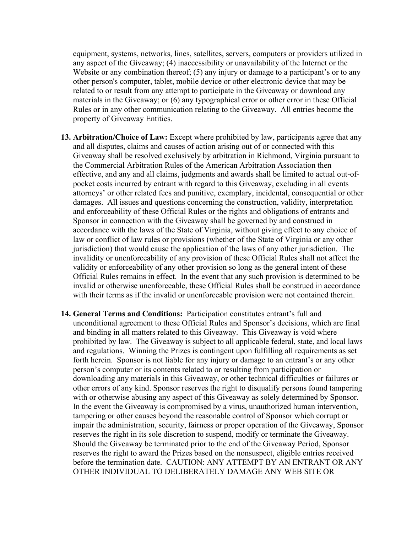equipment, systems, networks, lines, satellites, servers, computers or providers utilized in any aspect of the Giveaway; (4) inaccessibility or unavailability of the Internet or the Website or any combination thereof; (5) any injury or damage to a participant's or to any other person's computer, tablet, mobile device or other electronic device that may be related to or result from any attempt to participate in the Giveaway or download any materials in the Giveaway; or (6) any typographical error or other error in these Official Rules or in any other communication relating to the Giveaway. All entries become the property of Giveaway Entities.

- **13. Arbitration/Choice of Law:** Except where prohibited by law, participants agree that any and all disputes, claims and causes of action arising out of or connected with this Giveaway shall be resolved exclusively by arbitration in Richmond, Virginia pursuant to the Commercial Arbitration Rules of the American Arbitration Association then effective, and any and all claims, judgments and awards shall be limited to actual out-ofpocket costs incurred by entrant with regard to this Giveaway, excluding in all events attorneys' or other related fees and punitive, exemplary, incidental, consequential or other damages. All issues and questions concerning the construction, validity, interpretation and enforceability of these Official Rules or the rights and obligations of entrants and Sponsor in connection with the Giveaway shall be governed by and construed in accordance with the laws of the State of Virginia, without giving effect to any choice of law or conflict of law rules or provisions (whether of the State of Virginia or any other jurisdiction) that would cause the application of the laws of any other jurisdiction. The invalidity or unenforceability of any provision of these Official Rules shall not affect the validity or enforceability of any other provision so long as the general intent of these Official Rules remains in effect. In the event that any such provision is determined to be invalid or otherwise unenforceable, these Official Rules shall be construed in accordance with their terms as if the invalid or unenforceable provision were not contained therein.
- **14. General Terms and Conditions:** Participation constitutes entrant's full and unconditional agreement to these Official Rules and Sponsor's decisions, which are final and binding in all matters related to this Giveaway. This Giveaway is void where prohibited by law. The Giveaway is subject to all applicable federal, state, and local laws and regulations. Winning the Prizes is contingent upon fulfilling all requirements as set forth herein. Sponsor is not liable for any injury or damage to an entrant's or any other person's computer or its contents related to or resulting from participation or downloading any materials in this Giveaway, or other technical difficulties or failures or other errors of any kind. Sponsor reserves the right to disqualify persons found tampering with or otherwise abusing any aspect of this Giveaway as solely determined by Sponsor. In the event the Giveaway is compromised by a virus, unauthorized human intervention, tampering or other causes beyond the reasonable control of Sponsor which corrupt or impair the administration, security, fairness or proper operation of the Giveaway, Sponsor reserves the right in its sole discretion to suspend, modify or terminate the Giveaway. Should the Giveaway be terminated prior to the end of the Giveaway Period, Sponsor reserves the right to award the Prizes based on the nonsuspect, eligible entries received before the termination date. CAUTION: ANY ATTEMPT BY AN ENTRANT OR ANY OTHER INDIVIDUAL TO DELIBERATELY DAMAGE ANY WEB SITE OR